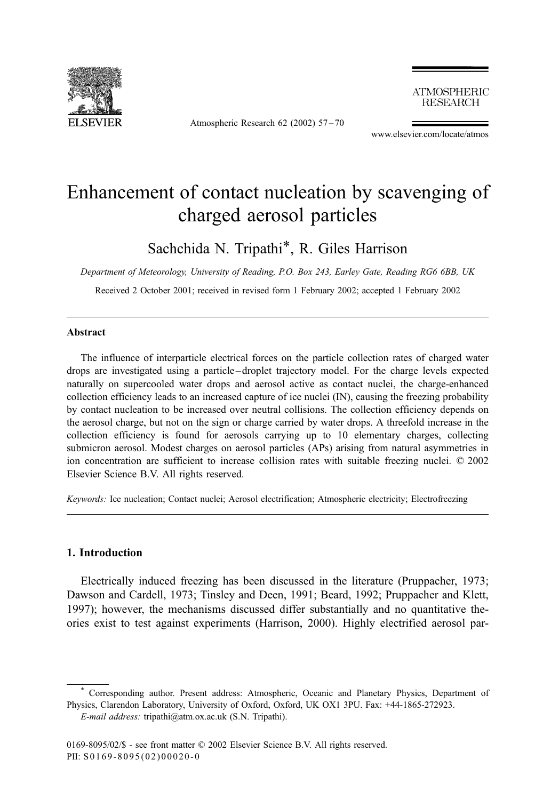

Atmospheric Research 62 (2002) 57 – 70

**ATMOSPHERIC RESEARCH** 

www.elsevier.com/locate/atmos

# Enhancement of contact nucleation by scavenging of charged aerosol particles

Sachchida N. Tripathi\*, R. Giles Harrison

Department of Meteorology, University of Reading, P.O. Box 243, Earley Gate, Reading RG6 6BB, UK

Received 2 October 2001; received in revised form 1 February 2002; accepted 1 February 2002

### Abstract

The influence of interparticle electrical forces on the particle collection rates of charged water drops are investigated using a particle – droplet trajectory model. For the charge levels expected naturally on supercooled water drops and aerosol active as contact nuclei, the charge-enhanced collection efficiency leads to an increased capture of ice nuclei (IN), causing the freezing probability by contact nucleation to be increased over neutral collisions. The collection efficiency depends on the aerosol charge, but not on the sign or charge carried by water drops. A threefold increase in the collection efficiency is found for aerosols carrying up to 10 elementary charges, collecting submicron aerosol. Modest charges on aerosol particles (APs) arising from natural asymmetries in ion concentration are sufficient to increase collision rates with suitable freezing nuclei. © 2002 Elsevier Science B.V. All rights reserved.

Keywords: Ice nucleation; Contact nuclei; Aerosol electrification; Atmospheric electricity; Electrofreezing

# 1. Introduction

Electrically induced freezing has been discussed in the literature (Pruppacher, 1973; Dawson and Cardell, 1973; Tinsley and Deen, 1991; Beard, 1992; Pruppacher and Klett, 1997); however, the mechanisms discussed differ substantially and no quantitative theories exist to test against experiments (Harrison, 2000). Highly electrified aerosol par-

<sup>\*</sup> Corresponding author. Present address: Atmospheric, Oceanic and Planetary Physics, Department of Physics, Clarendon Laboratory, University of Oxford, Oxford, UK OX1 3PU. Fax: +44-1865-272923.

E-mail address: tripathi@atm.ox.ac.uk (S.N. Tripathi).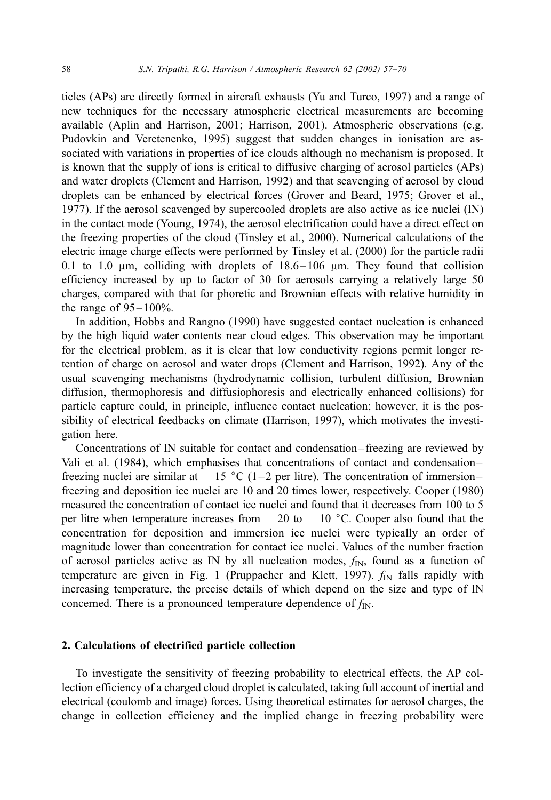ticles (APs) are directly formed in aircraft exhausts (Yu and Turco, 1997) and a range of new techniques for the necessary atmospheric electrical measurements are becoming available (Aplin and Harrison, 2001; Harrison, 2001). Atmospheric observations (e.g. Pudovkin and Veretenenko, 1995) suggest that sudden changes in ionisation are associated with variations in properties of ice clouds although no mechanism is proposed. It is known that the supply of ions is critical to diffusive charging of aerosol particles (APs) and water droplets (Clement and Harrison, 1992) and that scavenging of aerosol by cloud droplets can be enhanced by electrical forces (Grover and Beard, 1975; Grover et al., 1977). If the aerosol scavenged by supercooled droplets are also active as ice nuclei (IN) in the contact mode (Young, 1974), the aerosol electrification could have a direct effect on the freezing properties of the cloud (Tinsley et al., 2000). Numerical calculations of the electric image charge effects were performed by Tinsley et al. (2000) for the particle radii 0.1 to 1.0  $\mu$ m, colliding with droplets of 18.6–106  $\mu$ m. They found that collision efficiency increased by up to factor of 30 for aerosols carrying a relatively large 50 charges, compared with that for phoretic and Brownian effects with relative humidity in the range of  $95 - 100\%$ .

In addition, Hobbs and Rangno (1990) have suggested contact nucleation is enhanced by the high liquid water contents near cloud edges. This observation may be important for the electrical problem, as it is clear that low conductivity regions permit longer retention of charge on aerosol and water drops (Clement and Harrison, 1992). Any of the usual scavenging mechanisms (hydrodynamic collision, turbulent diffusion, Brownian diffusion, thermophoresis and diffusiophoresis and electrically enhanced collisions) for particle capture could, in principle, influence contact nucleation; however, it is the possibility of electrical feedbacks on climate (Harrison, 1997), which motivates the investigation here.

Concentrations of IN suitable for contact and condensation – freezing are reviewed by Vali et al. (1984), which emphasises that concentrations of contact and condensation– freezing nuclei are similar at  $-15$  °C (1-2 per litre). The concentration of immersionfreezing and deposition ice nuclei are 10 and 20 times lower, respectively. Cooper (1980) measured the concentration of contact ice nuclei and found that it decreases from 100 to 5 per litre when temperature increases from  $-20$  to  $-10$  °C. Cooper also found that the concentration for deposition and immersion ice nuclei were typically an order of magnitude lower than concentration for contact ice nuclei. Values of the number fraction of aerosol particles active as IN by all nucleation modes,  $f_{IN}$ , found as a function of temperature are given in Fig. 1 (Pruppacher and Klett, 1997).  $f_{IN}$  falls rapidly with increasing temperature, the precise details of which depend on the size and type of IN concerned. There is a pronounced temperature dependence of  $f_{\text{IN}}$ .

#### 2. Calculations of electrified particle collection

To investigate the sensitivity of freezing probability to electrical effects, the AP collection efficiency of a charged cloud droplet is calculated, taking full account of inertial and electrical (coulomb and image) forces. Using theoretical estimates for aerosol charges, the change in collection efficiency and the implied change in freezing probability were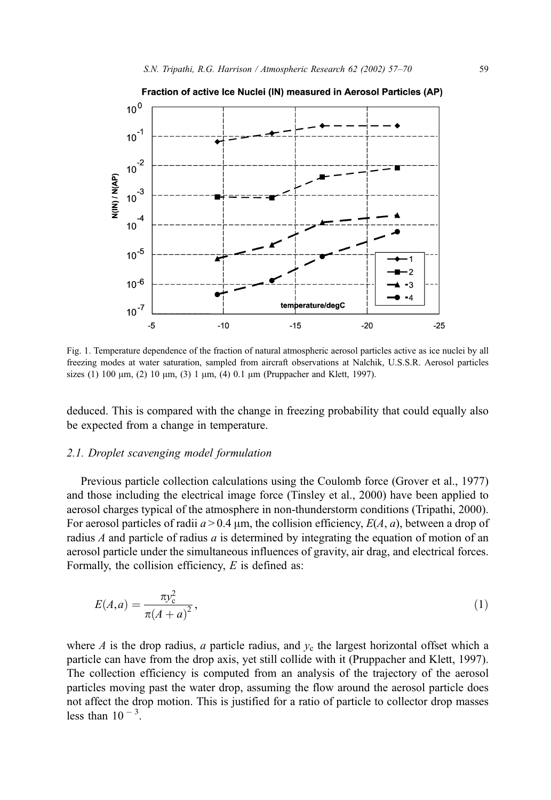

Fig. 1. Temperature dependence of the fraction of natural atmospheric aerosol particles active as ice nuclei by all freezing modes at water saturation, sampled from aircraft observations at Nalchik, U.S.S.R. Aerosol particles sizes (1) 100  $\mu$ m, (2) 10  $\mu$ m, (3) 1  $\mu$ m, (4) 0.1  $\mu$ m (Pruppacher and Klett, 1997).

deduced. This is compared with the change in freezing probability that could equally also be expected from a change in temperature.

# 2.1. Droplet scavenging model formulation

Previous particle collection calculations using the Coulomb force (Grover et al., 1977) and those including the electrical image force (Tinsley et al., 2000) have been applied to aerosol charges typical of the atmosphere in non-thunderstorm conditions (Tripathi, 2000). For aerosol particles of radii  $a > 0.4 \mu m$ , the collision efficiency,  $E(A, a)$ , between a drop of radius  $A$  and particle of radius  $a$  is determined by integrating the equation of motion of an aerosol particle under the simultaneous influences of gravity, air drag, and electrical forces. Formally, the collision efficiency,  $E$  is defined as:

$$
E(A, a) = \frac{\pi y_c^2}{\pi (A + a)^2},
$$
\n(1)

where A is the drop radius, a particle radius, and  $y_c$  the largest horizontal offset which a particle can have from the drop axis, yet still collide with it (Pruppacher and Klett, 1997). The collection efficiency is computed from an analysis of the trajectory of the aerosol particles moving past the water drop, assuming the flow around the aerosol particle does not affect the drop motion. This is justified for a ratio of particle to collector drop masses less than  $10^{-3}$ .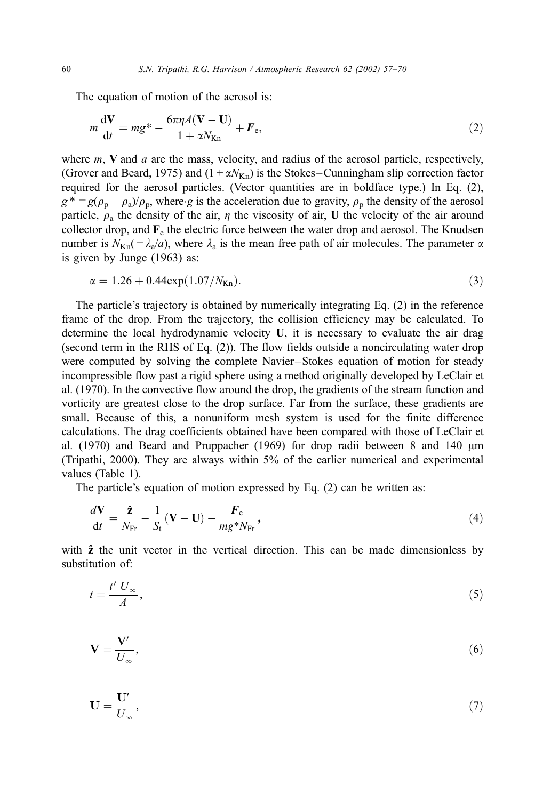The equation of motion of the aerosol is:

$$
m\frac{\mathrm{d}V}{\mathrm{d}t} = mg^* - \frac{6\pi\eta A(V - U)}{1 + \alpha N_{\mathrm{Kn}}} + F_{\mathrm{e}},\tag{2}
$$

where  $m$ ,  $V$  and  $a$  are the mass, velocity, and radius of the aerosol particle, respectively, (Grover and Beard, 1975) and  $(1 + \alpha N_{Kn})$  is the Stokes–Cunningham slip correction factor required for the aerosol particles. (Vector quantities are in boldface type.) In Eq. (2),  $g^* = g(\rho_p - \rho_a)/\rho_p$ , where g is the acceleration due to gravity,  $\rho_p$  the density of the aerosol particle,  $\rho_a$  the density of the air,  $\eta$  the viscosity of air, U the velocity of the air around collector drop, and  $\mathbf{F}_{e}$  the electric force between the water drop and aerosol. The Knudsen number is  $N_{Kn} = \lambda_a/a$ , where  $\lambda_a$  is the mean free path of air molecules. The parameter  $\alpha$ is given by Junge (1963) as:

$$
\alpha = 1.26 + 0.44 \exp(1.07/N_{\text{Kn}}). \tag{3}
$$

The particle's trajectory is obtained by numerically integrating Eq. (2) in the reference frame of the drop. From the trajectory, the collision efficiency may be calculated. To determine the local hydrodynamic velocity U, it is necessary to evaluate the air drag (second term in the RHS of Eq. (2)). The flow fields outside a noncirculating water drop were computed by solving the complete Navier –Stokes equation of motion for steady incompressible flow past a rigid sphere using a method originally developed by LeClair et al. (1970). In the convective flow around the drop, the gradients of the stream function and vorticity are greatest close to the drop surface. Far from the surface, these gradients are small. Because of this, a nonuniform mesh system is used for the finite difference calculations. The drag coefficients obtained have been compared with those of LeClair et al.  $(1970)$  and Beard and Pruppacher  $(1969)$  for drop radii between 8 and 140  $\mu$ m (Tripathi, 2000). They are always within 5% of the earlier numerical and experimental values (Table 1).

The particle's equation of motion expressed by Eq. (2) can be written as:

$$
\frac{d\mathbf{V}}{dt} = \frac{\hat{\mathbf{z}}}{N_{\text{Fr}}} - \frac{1}{S_{\text{t}}}(\mathbf{V} - \mathbf{U}) - \frac{F_{\text{e}}}{mg^*N_{\text{Fr}}},\tag{4}
$$

with  $\hat{z}$  the unit vector in the vertical direction. This can be made dimensionless by substitution of:

$$
t = \frac{t'}{A},\tag{5}
$$

$$
\mathbf{V} = \frac{\mathbf{V}'}{U_{\infty}},\tag{6}
$$

$$
\mathbf{U} = \frac{\mathbf{U}'}{U_{\infty}},\tag{7}
$$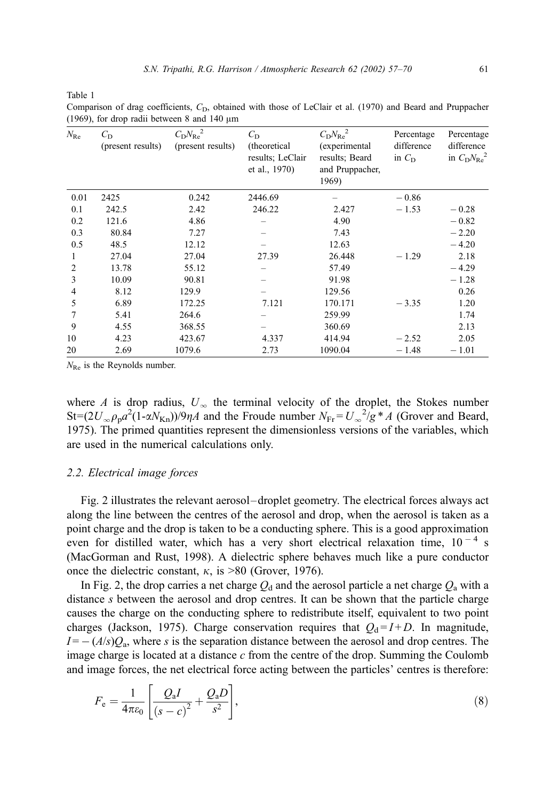Table 1

Comparison of drag coefficients,  $C<sub>D</sub>$ , obtained with those of LeClair et al. (1970) and Beard and Pruppacher (1969), for drop radii between 8 and 140  $\mu$ m

| $N_{\rm Re}$ | $C_{\rm D}$<br>(present results) | $C_D N_{\text{Re}}^2$<br>(present results) | $C_{\rm D}$<br>(theoretical)<br>results; LeClair<br>et al., 1970) | $C_D N_{\text{Re}}^2$<br>(experimental<br>results; Beard<br>and Pruppacher,<br>1969) | Percentage<br>difference<br>in $C_{\rm D}$ | Percentage<br>difference<br>in $C_D N_{\text{Re}}^2$ |
|--------------|----------------------------------|--------------------------------------------|-------------------------------------------------------------------|--------------------------------------------------------------------------------------|--------------------------------------------|------------------------------------------------------|
| 0.01         | 2425                             | 0.242                                      | 2446.69                                                           |                                                                                      | $-0.86$                                    |                                                      |
| 0.1          | 242.5                            | 2.42                                       | 246.22                                                            | 2.427                                                                                | $-1.53$                                    | $-0.28$                                              |
| 0.2          | 121.6                            | 4.86                                       |                                                                   | 4.90                                                                                 |                                            | $-0.82$                                              |
| 0.3          | 80.84                            | 7.27                                       |                                                                   | 7.43                                                                                 |                                            | $-2.20$                                              |
| 0.5          | 48.5                             | 12.12                                      |                                                                   | 12.63                                                                                |                                            | $-4.20$                                              |
| 1            | 27.04                            | 27.04                                      | 27.39                                                             | 26.448                                                                               | $-1.29$                                    | 2.18                                                 |
| 2            | 13.78                            | 55.12                                      |                                                                   | 57.49                                                                                |                                            | $-4.29$                                              |
| 3            | 10.09                            | 90.81                                      |                                                                   | 91.98                                                                                |                                            | $-1.28$                                              |
| 4            | 8.12                             | 129.9                                      |                                                                   | 129.56                                                                               |                                            | 0.26                                                 |
| 5            | 6.89                             | 172.25                                     | 7.121                                                             | 170.171                                                                              | $-3.35$                                    | 1.20                                                 |
| 7            | 5.41                             | 264.6                                      |                                                                   | 259.99                                                                               |                                            | 1.74                                                 |
| 9            | 4.55                             | 368.55                                     |                                                                   | 360.69                                                                               |                                            | 2.13                                                 |
| 10           | 4.23                             | 423.67                                     | 4.337                                                             | 414.94                                                                               | $-2.52$                                    | 2.05                                                 |
| 20           | 2.69                             | 1079.6                                     | 2.73                                                              | 1090.04                                                                              | $-1.48$                                    | $-1.01$                                              |

 $N_{\text{Re}}$  is the Reynolds number.

where A is drop radius,  $U_{\infty}$  the terminal velocity of the droplet, the Stokes number St=(2U<sub>∞</sub> $\rho_{\rm p} a^2 (1 - \alpha N_{\rm Kn})$ )/9 $\eta A$  and the Froude number  $N_{\rm Fr} = U_{\infty}^2/g * A$  (Grover and Beard, 1975). The primed quantities represent the dimensionless versions of the variables, which are used in the numerical calculations only.

### 2.2. Electrical image forces

Fig. 2 illustrates the relevant aerosol–droplet geometry. The electrical forces always act along the line between the centres of the aerosol and drop, when the aerosol is taken as a point charge and the drop is taken to be a conducting sphere. This is a good approximation even for distilled water, which has a very short electrical relaxation time,  $10^{-4}$  s (MacGorman and Rust, 1998). A dielectric sphere behaves much like a pure conductor once the dielectric constant,  $\kappa$ , is >80 (Grover, 1976).

In Fig. 2, the drop carries a net charge  $Q_d$  and the aerosol particle a net charge  $Q_a$  with a distance s between the aerosol and drop centres. It can be shown that the particle charge causes the charge on the conducting sphere to redistribute itself, equivalent to two point charges (Jackson, 1975). Charge conservation requires that  $Q_d = I + D$ . In magnitude,  $I = -\frac{A}{s}Q_a$ , where s is the separation distance between the aerosol and drop centres. The image charge is located at a distance  $c$  from the centre of the drop. Summing the Coulomb and image forces, the net electrical force acting between the particles' centres is therefore:

$$
F_{\rm e} = \frac{1}{4\pi\varepsilon_0} \left[ \frac{Q_{\rm a}I}{\left(s - c\right)^2} + \frac{Q_{\rm a}D}{s^2} \right],\tag{8}
$$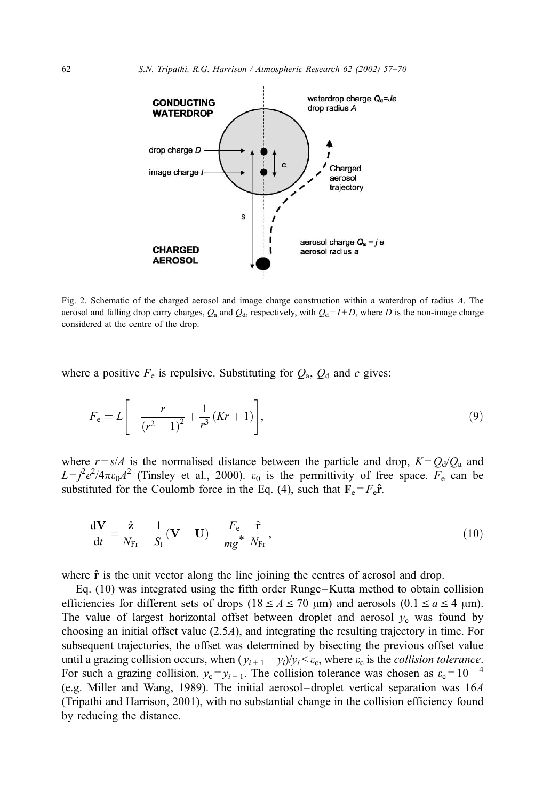

Fig. 2. Schematic of the charged aerosol and image charge construction within a waterdrop of radius A. The aerosol and falling drop carry charges,  $Q_a$  and  $Q_d$ , respectively, with  $Q_d = I + D$ , where D is the non-image charge considered at the centre of the drop.

where a positive  $F_e$  is repulsive. Substituting for  $Q_a$ ,  $Q_d$  and c gives:

$$
F_{e} = L \left[ -\frac{r}{(r^{2} - 1)^{2}} + \frac{1}{r^{3}} (Kr + 1) \right],
$$
\n(9)

where  $r = s/A$  is the normalised distance between the particle and drop,  $K = Q_d/Q_a$  and  $L = j^2 e^2 / 4\pi \epsilon_0 A^2$  (Tinsley et al., 2000).  $\epsilon_0$  is the permittivity of free space.  $F_e$  can be substituted for the Coulomb force in the Eq. (4), such that  $\mathbf{F}_e = F_e \hat{\mathbf{r}}$ .

$$
\frac{d\mathbf{V}}{dt} = \frac{\hat{\mathbf{z}}}{N_{\text{Fr}}} - \frac{1}{S_{\text{t}}}(\mathbf{V} - \mathbf{U}) - \frac{F_{\text{e}}}{mg} \frac{\hat{\mathbf{r}}}{N_{\text{Fr}}},\tag{10}
$$

where  $\hat{\mathbf{r}}$  is the unit vector along the line joining the centres of aerosol and drop.

Eq. (10) was integrated using the fifth order Runge –Kutta method to obtain collision efficiencies for different sets of drops ( $18 \le A \le 70 \text{ }\mu\text{m}$ ) and aerosols ( $0.1 \le a \le 4 \text{ }\mu\text{m}$ ). The value of largest horizontal offset between droplet and aerosol  $y_c$  was found by choosing an initial offset value (2.5A), and integrating the resulting trajectory in time. For subsequent trajectories, the offset was determined by bisecting the previous offset value until a grazing collision occurs, when  $(y_{i+1} - y_i)/y_i < \varepsilon_c$ , where  $\varepsilon_c$  is the *collision tolerance*. For such a grazing collision,  $y_c = y_{i+1}$ . The collision tolerance was chosen as  $\varepsilon_c = 10^{-4}$ (e.g. Miller and Wang, 1989). The initial aerosol– droplet vertical separation was 16A (Tripathi and Harrison, 2001), with no substantial change in the collision efficiency found by reducing the distance.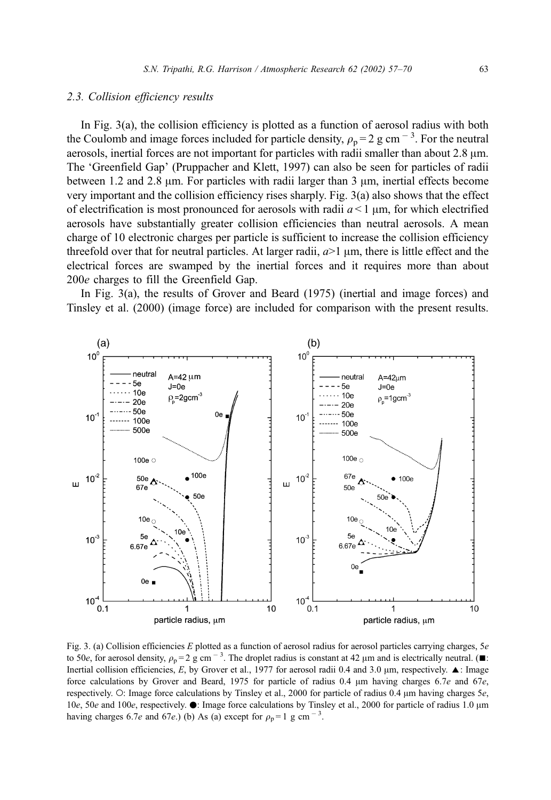## 2.3. Collision efficiency results

In Fig. 3(a), the collision efficiency is plotted as a function of aerosol radius with both the Coulomb and image forces included for particle density,  $\rho_p = 2$  g cm<sup>-3</sup>. For the neutral aerosols, inertial forces are not important for particles with radii smaller than about  $2.8 \mu m$ . The 'Greenfield Gap' (Pruppacher and Klett, 1997) can also be seen for particles of radii between 1.2 and 2.8  $\mu$ m. For particles with radii larger than 3  $\mu$ m, inertial effects become very important and the collision efficiency rises sharply. Fig. 3(a) also shows that the effect of electrification is most pronounced for aerosols with radii  $a < 1 \mu m$ , for which electrified aerosols have substantially greater collision efficiencies than neutral aerosols. A mean charge of 10 electronic charges per particle is sufficient to increase the collision efficiency threefold over that for neutral particles. At larger radii,  $a > 1 \mu m$ , there is little effect and the electrical forces are swamped by the inertial forces and it requires more than about 200e charges to fill the Greenfield Gap.

In Fig. 3(a), the results of Grover and Beard (1975) (inertial and image forces) and Tinsley et al. (2000) (image force) are included for comparison with the present results.



Fig. 3. (a) Collision efficiencies  $E$  plotted as a function of aerosol radius for aerosol particles carrying charges,  $5e$ to 50e, for aerosol density,  $\rho_p = 2$  g cm<sup>-3</sup>. The droplet radius is constant at 42  $\mu$ m and is electrically neutral. ( $\blacksquare$ : Inertial collision efficiencies, E, by Grover et al., 1977 for aerosol radii 0.4 and 3.0  $\mu$ m, respectively.  $\blacktriangle$ : Image force calculations by Grover and Beard, 1975 for particle of radius 0.4  $\mu$ m having charges 6.7e and 67e, respectively. O: Image force calculations by Tinsley et al., 2000 for particle of radius 0.4  $\mu$ m having charges 5e, 10e, 50e and 100e, respectively.  $\bullet$ : Image force calculations by Tinsley et al., 2000 for particle of radius 1.0 µm having charges 6.7e and 67e.) (b) As (a) except for  $\rho_p = 1$  g cm<sup>-3</sup>.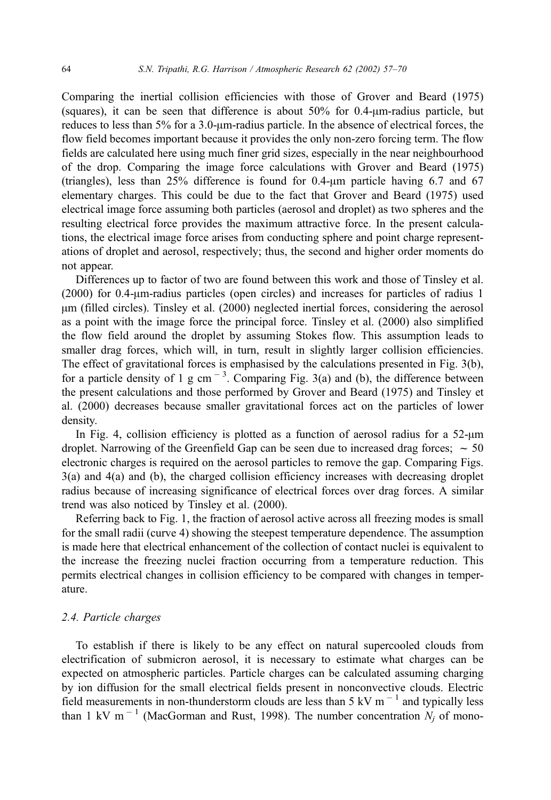Comparing the inertial collision efficiencies with those of Grover and Beard (1975) (squares), it can be seen that difference is about  $50\%$  for 0.4- $\mu$ m-radius particle, but reduces to less than  $5\%$  for a 3.0- $\mu$ m-radius particle. In the absence of electrical forces, the flow field becomes important because it provides the only non-zero forcing term. The flow fields are calculated here using much finer grid sizes, especially in the near neighbourhood of the drop. Comparing the image force calculations with Grover and Beard (1975) (triangles), less than  $25\%$  difference is found for 0.4- $\mu$ m particle having 6.7 and 67 elementary charges. This could be due to the fact that Grover and Beard (1975) used electrical image force assuming both particles (aerosol and droplet) as two spheres and the resulting electrical force provides the maximum attractive force. In the present calculations, the electrical image force arises from conducting sphere and point charge representations of droplet and aerosol, respectively; thus, the second and higher order moments do not appear.

Differences up to factor of two are found between this work and those of Tinsley et al.  $(2000)$  for 0.4- $\mu$ m-radius particles (open circles) and increases for particles of radius 1  $\mu$ m (filled circles). Tinsley et al. (2000) neglected inertial forces, considering the aerosol as a point with the image force the principal force. Tinsley et al. (2000) also simplified the flow field around the droplet by assuming Stokes flow. This assumption leads to smaller drag forces, which will, in turn, result in slightly larger collision efficiencies. The effect of gravitational forces is emphasised by the calculations presented in Fig. 3(b), for a particle density of 1 g cm<sup> $-3$ </sup>. Comparing Fig. 3(a) and (b), the difference between the present calculations and those performed by Grover and Beard (1975) and Tinsley et al. (2000) decreases because smaller gravitational forces act on the particles of lower density.

In Fig. 4, collision efficiency is plotted as a function of aerosol radius for a  $52-\mu m$ droplet. Narrowing of the Greenfield Gap can be seen due to increased drag forces;  $\sim$  50 electronic charges is required on the aerosol particles to remove the gap. Comparing Figs. 3(a) and 4(a) and (b), the charged collision efficiency increases with decreasing droplet radius because of increasing significance of electrical forces over drag forces. A similar trend was also noticed by Tinsley et al. (2000).

Referring back to Fig. 1, the fraction of aerosol active across all freezing modes is small for the small radii (curve 4) showing the steepest temperature dependence. The assumption is made here that electrical enhancement of the collection of contact nuclei is equivalent to the increase the freezing nuclei fraction occurring from a temperature reduction. This permits electrical changes in collision efficiency to be compared with changes in temperature.

## 2.4. Particle charges

To establish if there is likely to be any effect on natural supercooled clouds from electrification of submicron aerosol, it is necessary to estimate what charges can be expected on atmospheric particles. Particle charges can be calculated assuming charging by ion diffusion for the small electrical fields present in nonconvective clouds. Electric field measurements in non-thunderstorm clouds are less than  $5 \,\mathrm{kV m}^{-1}$  and typically less than 1 kV m<sup>-1</sup> (MacGorman and Rust, 1998). The number concentration  $N_i$  of mono-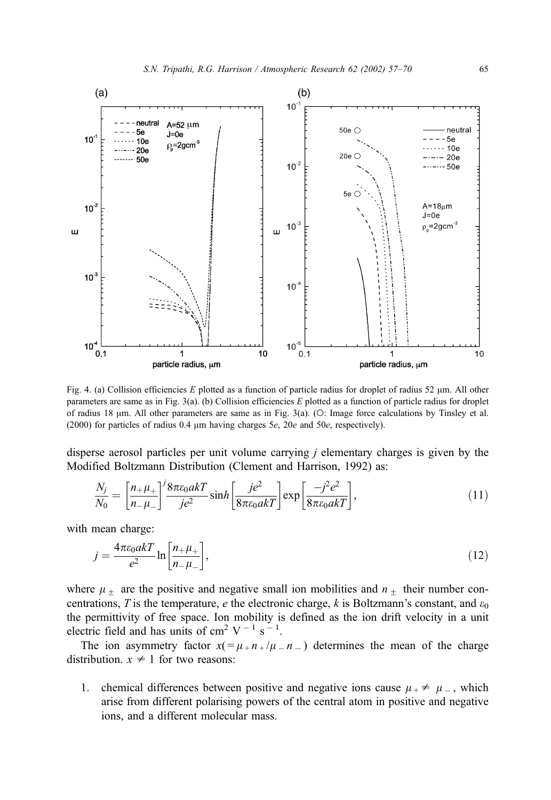

Fig. 4. (a) Collision efficiencies E plotted as a function of particle radius for droplet of radius 52  $\mu$ m. All other parameters are same as in Fig. 3(a). (b) Collision efficiencies E plotted as a function of particle radius for droplet of radius 18  $\mu$ m. All other parameters are same as in Fig. 3(a). (O: Image force calculations by Tinsley et al. (2000) for particles of radius 0.4  $\mu$ m having charges 5e, 20e and 50e, respectively).

disperse aerosol particles per unit volume carrying j elementary charges is given by the Modified Boltzmann Distribution (Clement and Harrison, 1992) as:

$$
\frac{N_j}{N_0} = \left[\frac{n_+\mu_+}{n_-\mu_-}\right]^j \frac{8\pi\varepsilon_0 a kT}{j e^2} \sinh\left[\frac{j e^2}{8\pi\varepsilon_0 a kT}\right] \exp\left[\frac{-j^2 e^2}{8\pi\varepsilon_0 a kT}\right],\tag{11}
$$

with mean charge:

$$
j = \frac{4\pi\varepsilon_0 akT}{e^2} \ln\left[\frac{n_{+}\mu_{+}}{n_{-}\mu_{-}}\right],\tag{12}
$$

where  $\mu$  + are the positive and negative small ion mobilities and  $n$  + their number concentrations, T is the temperature, e the electronic charge, k is Boltzmann's constant, and  $\varepsilon_0$ the permittivity of free space. Ion mobility is defined as the ion drift velocity in a unit electric field and has units of cm<sup>2</sup> V<sup>-1</sup> s<sup>-1</sup>.

The ion asymmetry factor  $x( = \mu + n + / \mu = n - )$  determines the mean of the charge distribution.  $x \neq 1$  for two reasons:

1. chemical differences between positive and negative ions cause  $\mu_+ \neq \mu_-$ , which arise from different polarising powers of the central atom in positive and negative ions, and a different molecular mass.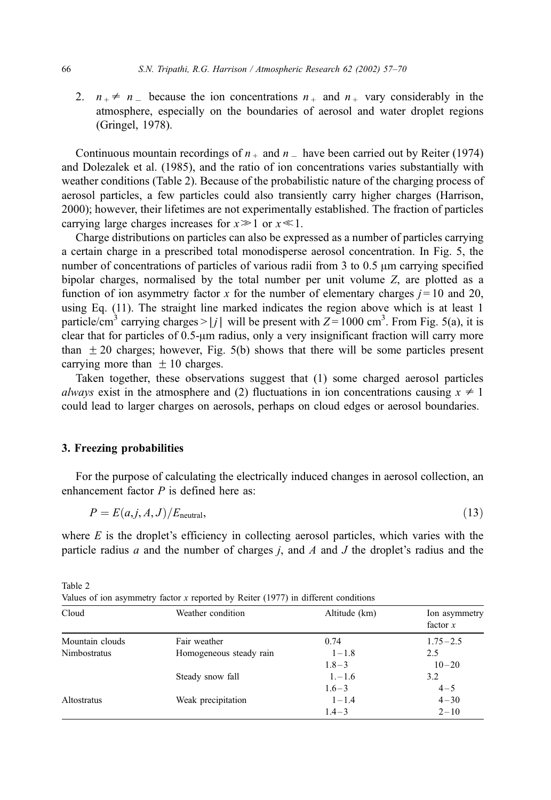2.  $n_{+} \neq n_{-}$  because the ion concentrations  $n_{+}$  and  $n_{+}$  vary considerably in the atmosphere, especially on the boundaries of aerosol and water droplet regions (Gringel, 1978).

Continuous mountain recordings of  $n_+$  and  $n_-$  have been carried out by Reiter (1974) and Dolezalek et al. (1985), and the ratio of ion concentrations varies substantially with weather conditions (Table 2). Because of the probabilistic nature of the charging process of aerosol particles, a few particles could also transiently carry higher charges (Harrison, 2000); however, their lifetimes are not experimentally established. The fraction of particles carrying large charges increases for  $x \geq 1$  or  $x \ll 1$ .

Charge distributions on particles can also be expressed as a number of particles carrying a certain charge in a prescribed total monodisperse aerosol concentration. In Fig. 5, the number of concentrations of particles of various radii from  $3$  to  $0.5 \mu$ m carrying specified bipolar charges, normalised by the total number per unit volume Z, are plotted as a function of ion asymmetry factor x for the number of elementary charges  $j = 10$  and 20, using Eq. (11). The straight line marked indicates the region above which is at least 1 particle/cm<sup>3</sup> carrying charges > | j | will be present with  $Z = 1000$  cm<sup>3</sup>. From Fig. 5(a), it is clear that for particles of  $0.5$ - $\mu$ m radius, only a very insignificant fraction will carry more than  $\pm$  20 charges; however, Fig. 5(b) shows that there will be some particles present carrying more than  $\pm 10$  charges.

Taken together, these observations suggest that (1) some charged aerosol particles always exist in the atmosphere and (2) fluctuations in ion concentrations causing  $x \neq 1$ could lead to larger charges on aerosols, perhaps on cloud edges or aerosol boundaries.

# 3. Freezing probabilities

For the purpose of calculating the electrically induced changes in aerosol collection, an enhancement factor  $P$  is defined here as:

$$
P = E(a, j, A, J)/E_{\text{neutral}},\tag{13}
$$

where  $E$  is the droplet's efficiency in collecting aerosol particles, which varies with the particle radius  $a$  and the number of charges  $j$ , and  $A$  and  $J$  the droplet's radius and the

| values of foll asymmetry factor $\lambda$ reported by Kener (1777) in unreferred conditions |                         |               |                             |  |  |  |
|---------------------------------------------------------------------------------------------|-------------------------|---------------|-----------------------------|--|--|--|
| Cloud                                                                                       | Weather condition       | Altitude (km) | Ion asymmetry<br>factor $x$ |  |  |  |
| Mountain clouds                                                                             | Fair weather            | 0.74          | $1.75 - 2.5$                |  |  |  |
| Nimbostratus                                                                                | Homogeneous steady rain | $1 - 1.8$     | 2.5                         |  |  |  |
|                                                                                             |                         | $1.8 - 3$     | $10 - 20$                   |  |  |  |
|                                                                                             | Steady snow fall        | $1, -1.6$     | 3.2                         |  |  |  |
|                                                                                             |                         | $1.6 - 3$     | $4 - 5$                     |  |  |  |
| Altostratus                                                                                 | Weak precipitation      | $1 - 1.4$     | $4 - 30$                    |  |  |  |
|                                                                                             |                         | $1.4 - 3$     | $2 - 10$                    |  |  |  |

Table 2

Values of ion asymmetry factor x reported by Reiter (1977) in different conditions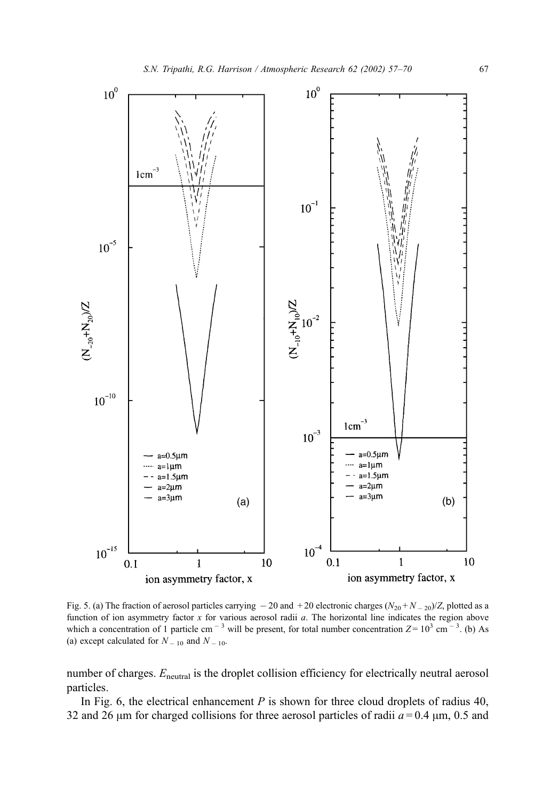

Fig. 5. (a) The fraction of aerosol particles carrying  $-20$  and  $+20$  electronic charges  $(N_{20} + N_{-20})/Z$ , plotted as a function of ion asymmetry factor x for various aerosol radii a. The horizontal line indicates the region above which a concentration of 1 particle cm<sup>-3</sup> will be present, for total number concentration  $Z = 10^3$  cm<sup>-3</sup>. (b) As (a) except calculated for  $N_{-10}$  and  $N_{-10}$ .

number of charges.  $E_{\text{neutral}}$  is the droplet collision efficiency for electrically neutral aerosol particles.

In Fig. 6, the electrical enhancement  $P$  is shown for three cloud droplets of radius 40, 32 and 26  $\mu$ m for charged collisions for three aerosol particles of radii  $a = 0.4 \mu$ m, 0.5 and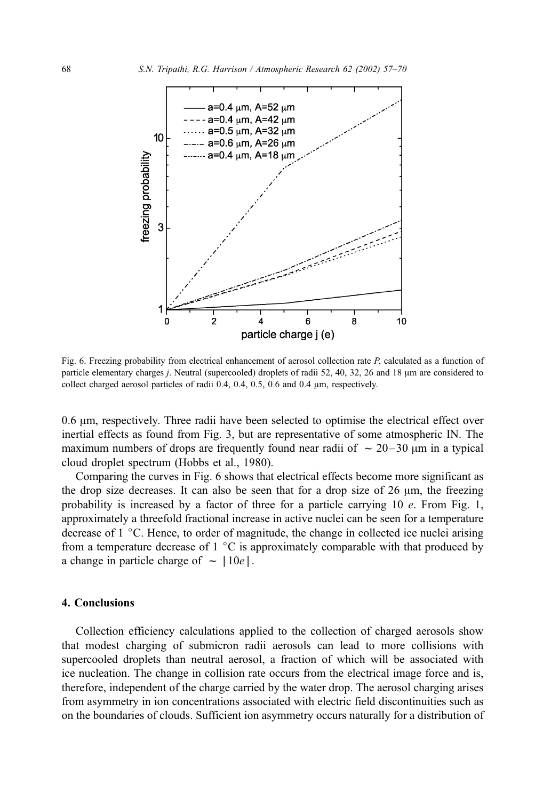

Fig. 6. Freezing probability from electrical enhancement of aerosol collection rate P, calculated as a function of particle elementary charges *j*. Neutral (supercooled) droplets of radii 52, 40, 32, 26 and 18  $\mu$ m are considered to collect charged aerosol particles of radii 0.4, 0.4, 0.5, 0.6 and 0.4  $\mu$ m, respectively.

0.6  $\mu$ m, respectively. Three radii have been selected to optimise the electrical effect over inertial effects as found from Fig. 3, but are representative of some atmospheric IN. The maximum numbers of drops are frequently found near radii of  $\sim 20 - 30$   $\mu$ m in a typical cloud droplet spectrum (Hobbs et al., 1980).

Comparing the curves in Fig. 6 shows that electrical effects become more significant as the drop size decreases. It can also be seen that for a drop size of  $26 \mu m$ , the freezing probability is increased by a factor of three for a particle carrying  $10$  e. From Fig. 1, approximately a threefold fractional increase in active nuclei can be seen for a temperature decrease of  $1 \degree C$ . Hence, to order of magnitude, the change in collected ice nuclei arising from a temperature decrease of  $1 \degree C$  is approximately comparable with that produced by a change in particle charge of  $\sim$  |10e|.

# 4. Conclusions

Collection efficiency calculations applied to the collection of charged aerosols show that modest charging of submicron radii aerosols can lead to more collisions with supercooled droplets than neutral aerosol, a fraction of which will be associated with ice nucleation. The change in collision rate occurs from the electrical image force and is, therefore, independent of the charge carried by the water drop. The aerosol charging arises from asymmetry in ion concentrations associated with electric field discontinuities such as on the boundaries of clouds. Sufficient ion asymmetry occurs naturally for a distribution of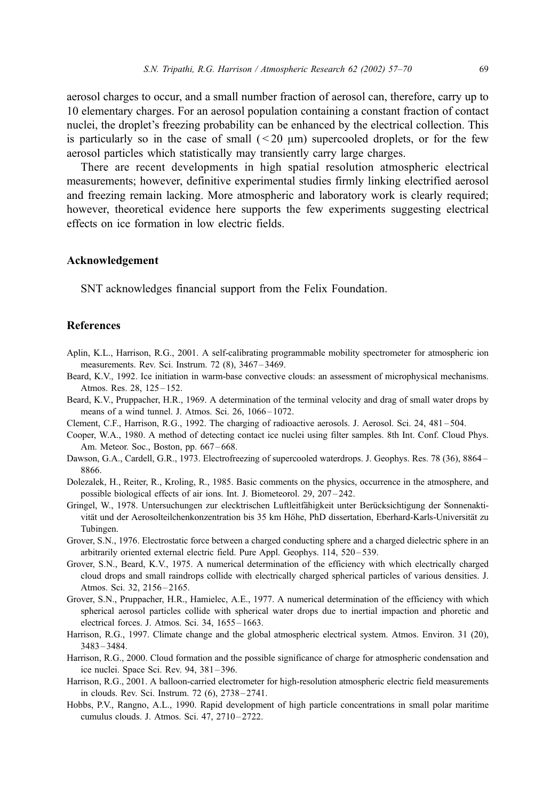aerosol charges to occur, and a small number fraction of aerosol can, therefore, carry up to 10 elementary charges. For an aerosol population containing a constant fraction of contact nuclei, the droplet's freezing probability can be enhanced by the electrical collection. This is particularly so in the case of small  $( $20 \mu m$ )$  supercooled droplets, or for the few aerosol particles which statistically may transiently carry large charges.

There are recent developments in high spatial resolution atmospheric electrical measurements; however, definitive experimental studies firmly linking electrified aerosol and freezing remain lacking. More atmospheric and laboratory work is clearly required; however, theoretical evidence here supports the few experiments suggesting electrical effects on ice formation in low electric fields.

#### Acknowledgement

SNT acknowledges financial support from the Felix Foundation.

## References

- Aplin, K.L., Harrison, R.G., 2001. A self-calibrating programmable mobility spectrometer for atmospheric ion measurements. Rev. Sci. Instrum. 72 (8), 3467 – 3469.
- Beard, K.V., 1992. Ice initiation in warm-base convective clouds: an assessment of microphysical mechanisms. Atmos. Res. 28, 125 – 152.
- Beard, K.V., Pruppacher, H.R., 1969. A determination of the terminal velocity and drag of small water drops by means of a wind tunnel. J. Atmos. Sci. 26, 1066-1072.
- Clement, C.F., Harrison, R.G., 1992. The charging of radioactive aerosols. J. Aerosol. Sci. 24, 481 504.
- Cooper, W.A., 1980. A method of detecting contact ice nuclei using filter samples. 8th Int. Conf. Cloud Phys. Am. Meteor. Soc., Boston, pp. 667–668.
- Dawson, G.A., Cardell, G.R., 1973. Electrofreezing of supercooled waterdrops. J. Geophys. Res. 78 (36), 8864 8866.
- Dolezalek, H., Reiter, R., Kroling, R., 1985. Basic comments on the physics, occurrence in the atmosphere, and possible biological effects of air ions. Int. J. Biometeorol. 29, 207 – 242.
- Gringel, W., 1978. Untersuchungen zur elecktrischen Luftleitfähigkeit unter Berücksichtigung der Sonnenaktivität und der Aerosolteilchenkonzentration bis 35 km Höhe, PhD dissertation, Eberhard-Karls-Universität zu Tubingen.
- Grover, S.N., 1976. Electrostatic force between a charged conducting sphere and a charged dielectric sphere in an arbitrarily oriented external electric field. Pure Appl. Geophys. 114, 520 – 539.
- Grover, S.N., Beard, K.V., 1975. A numerical determination of the efficiency with which electrically charged cloud drops and small raindrops collide with electrically charged spherical particles of various densities. J. Atmos. Sci. 32, 2156-2165.
- Grover, S.N., Pruppacher, H.R., Hamielec, A.E., 1977. A numerical determination of the efficiency with which spherical aerosol particles collide with spherical water drops due to inertial impaction and phoretic and electrical forces. J. Atmos. Sci. 34, 1655 – 1663.
- Harrison, R.G., 1997. Climate change and the global atmospheric electrical system. Atmos. Environ. 31 (20), 3483 – 3484.
- Harrison, R.G., 2000. Cloud formation and the possible significance of charge for atmospheric condensation and ice nuclei. Space Sci. Rev. 94, 381 – 396.
- Harrison, R.G., 2001. A balloon-carried electrometer for high-resolution atmospheric electric field measurements in clouds. Rev. Sci. Instrum. 72 (6), 2738 – 2741.
- Hobbs, P.V., Rangno, A.L., 1990. Rapid development of high particle concentrations in small polar maritime cumulus clouds. J. Atmos. Sci. 47, 2710 – 2722.